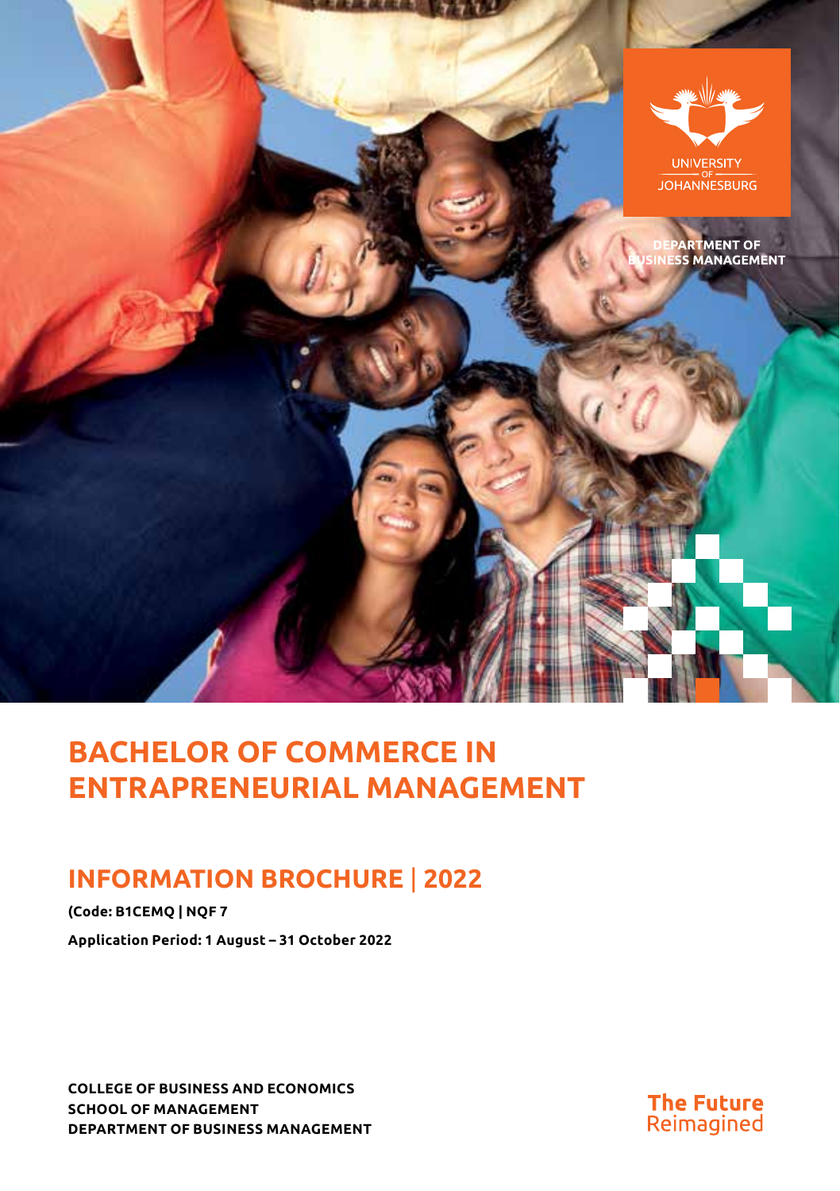

# **BACHELOR OF COMMERCE IN ENTRAPRENEURIAL MANAGEMENT**

# **INFORMATION BROCHURE** | **2022**

**(Code: B1CEMQ | NQF 7 Application Period: 1 August – 31 October 2022**

**COLLEGE OF BUSINESS AND ECONOMICS SCHOOL OF MANAGEMENT DEPARTMENT OF BUSINESS MANAGEMENT**

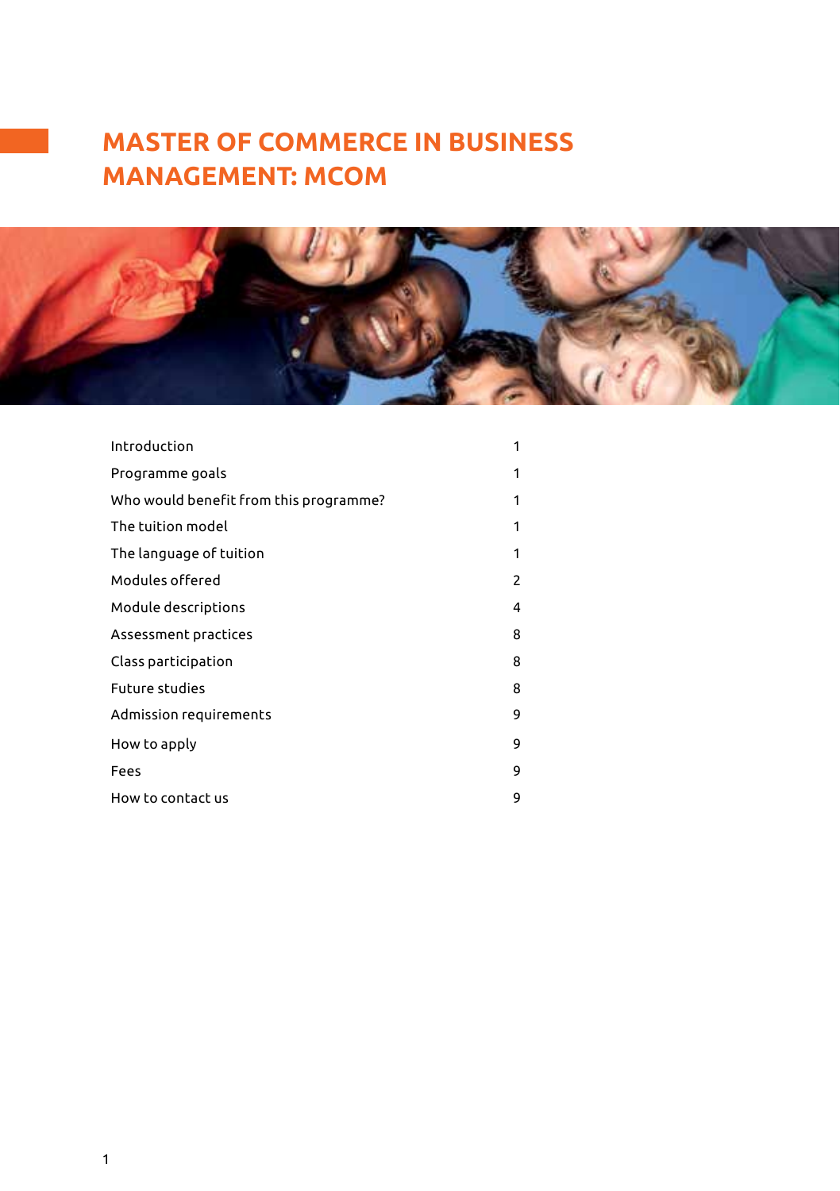# **MASTER OF COMMERCE IN BUSINESS MANAGEMENT: MCOM**



| Introduction                           | 1 |
|----------------------------------------|---|
| Programme goals                        | 1 |
| Who would benefit from this programme? | 1 |
| The tuition model                      | 1 |
| The language of tuition                | 1 |
| Modules offered                        | 2 |
| Module descriptions                    | 4 |
| Assessment practices                   | 8 |
| Class participation                    | 8 |
| <b>Future studies</b>                  | 8 |
| Admission requirements                 | 9 |
| How to apply                           | 9 |
| Fees                                   | 9 |
| How to contact us                      | 9 |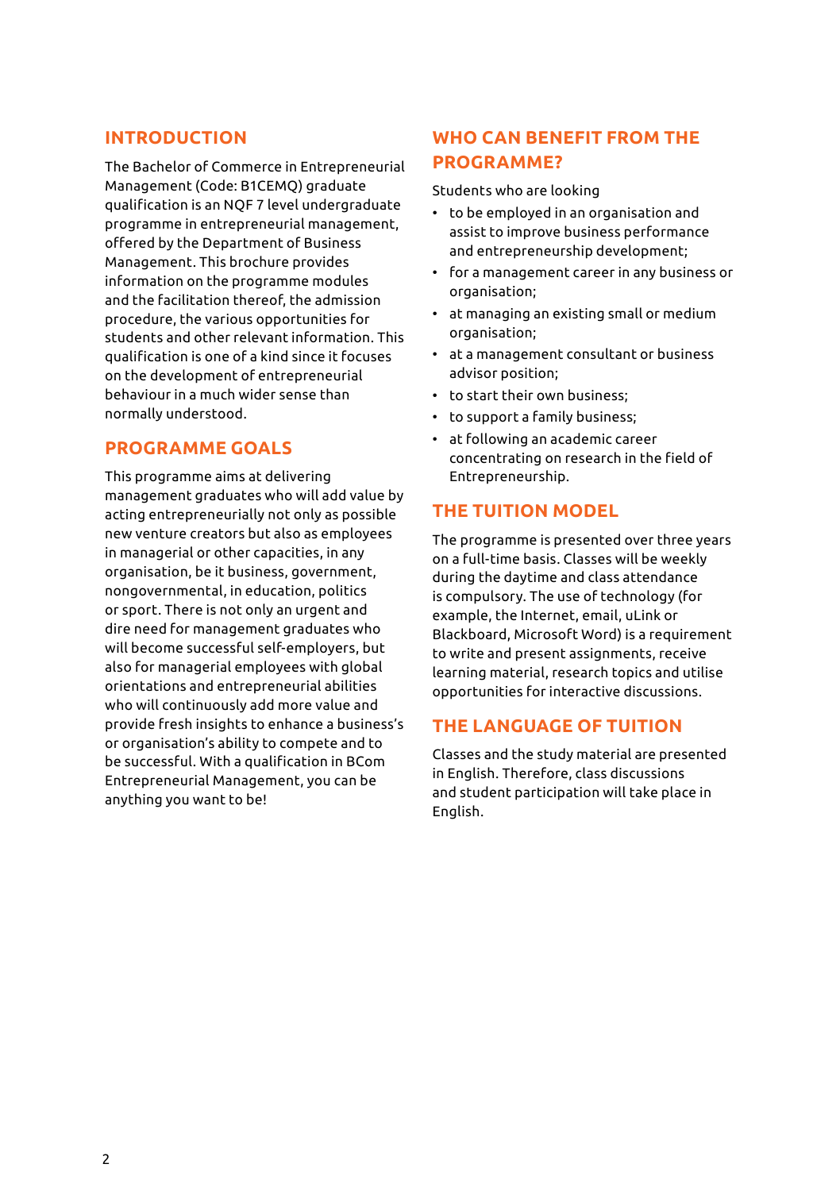### **INTRODUCTION**

The Bachelor of Commerce in Entrepreneurial Management (Code: B1CEMQ) graduate qualification is an NQF 7 level undergraduate programme in entrepreneurial management, offered by the Department of Business Management. This brochure provides information on the programme modules and the facilitation thereof, the admission procedure, the various opportunities for students and other relevant information. This qualification is one of a kind since it focuses on the development of entrepreneurial behaviour in a much wider sense than normally understood.

### **PROGRAMME GOALS**

This programme aims at delivering management graduates who will add value by acting entrepreneurially not only as possible new venture creators but also as employees in managerial or other capacities, in any organisation, be it business, government, nongovernmental, in education, politics or sport. There is not only an urgent and dire need for management graduates who will become successful self-employers, but also for managerial employees with global orientations and entrepreneurial abilities who will continuously add more value and provide fresh insights to enhance a business's or organisation's ability to compete and to be successful. With a qualification in BCom Entrepreneurial Management, you can be anything you want to be!

## **WHO CAN BENEFIT FROM THE PROGRAMME?**

Students who are looking

- to be employed in an organisation and assist to improve business performance and entrepreneurship development;
- for a management career in any business or organisation;
- at managing an existing small or medium organisation;
- at a management consultant or business advisor position;
- to start their own business;
- to support a family business;
- at following an academic career concentrating on research in the field of Entrepreneurship.

#### **THE TUITION MODEL**

The programme is presented over three years on a full-time basis. Classes will be weekly during the daytime and class attendance is compulsory. The use of technology (for example, the Internet, email, uLink or Blackboard, Microsoft Word) is a requirement to write and present assignments, receive learning material, research topics and utilise opportunities for interactive discussions.

#### **THE LANGUAGE OF TUITION**

Classes and the study material are presented in English. Therefore, class discussions and student participation will take place in English.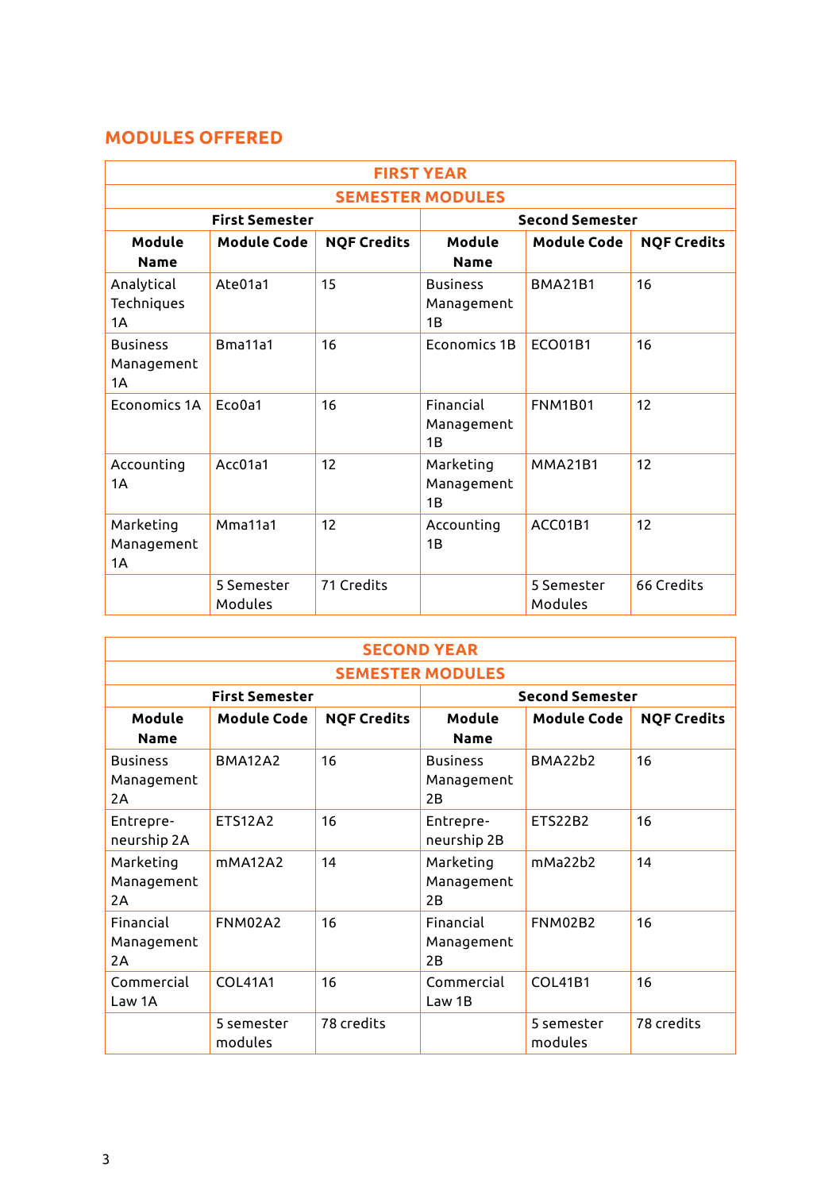## **MODULES OFFERED**

| <b>FIRST YEAR</b>                   |                       |                    |                                     |                       |                    |
|-------------------------------------|-----------------------|--------------------|-------------------------------------|-----------------------|--------------------|
| <b>SEMESTER MODULES</b>             |                       |                    |                                     |                       |                    |
|                                     | <b>First Semester</b> |                    | <b>Second Semester</b>              |                       |                    |
| Module<br>Name                      | <b>Module Code</b>    | <b>NQF Credits</b> | Module<br><b>Name</b>               | <b>Module Code</b>    | <b>NQF Credits</b> |
| Analytical<br>Techniques<br>1A      | Ate01a1               | 15                 | <b>Business</b><br>Management<br>1B | <b>BMA21B1</b>        | 16                 |
| <b>Business</b><br>Management<br>1A | Bma11a1               | 16                 | <b>Economics 1B</b>                 | <b>FCO01B1</b>        | 16                 |
| <b>Economics 1A</b>                 | Eco0a1                | 16                 | Financial<br>Management<br>1B       | <b>FNM1B01</b>        | 12                 |
| Accounting<br>1Α                    | Acc01a1               | 12                 | Marketing<br>Management<br>1B       | <b>MMA21B1</b>        | 12                 |
| Marketing<br>Management<br>1A       | Mma11a1               | 12                 | Accounting<br>1B                    | ACC01B1               | 12                 |
|                                     | 5 Semester<br>Modules | 71 Credits         |                                     | 5 Semester<br>Modules | 66 Credits         |

| <b>SECOND YEAR</b>                  |                       |                    |                                     |                                  |                    |
|-------------------------------------|-----------------------|--------------------|-------------------------------------|----------------------------------|--------------------|
| <b>SEMESTER MODULES</b>             |                       |                    |                                     |                                  |                    |
|                                     | <b>First Semester</b> |                    | <b>Second Semester</b>              |                                  |                    |
| Module<br>Name                      | <b>Module Code</b>    | <b>NQF Credits</b> | Module<br><b>Name</b>               | <b>Module Code</b>               | <b>NQF Credits</b> |
| <b>Business</b><br>Management<br>2Α | <b>BMA12A2</b>        | 16                 | <b>Business</b><br>Management<br>2B | BMA <sub>22</sub> h <sub>2</sub> | 16                 |
| Entrepre-<br>neurship 2A            | <b>FTS12A2</b>        | 16                 | Entrepre-<br>neurship 2B            | <b>FTS22B2</b>                   | 16                 |
| Marketing<br>Management<br>2Α       | mMA12A2               | 14                 | Marketing<br>Management<br>2B       | mMa22h2                          | 14                 |
| Financial<br>Management<br>2Α       | <b>FNM02A2</b>        | 16                 | Financial<br>Management<br>2B       | <b>FNM02B2</b>                   | 16                 |
| Commercial<br>Law 1A                | <b>COI 41A1</b>       | 16                 | Commercial<br>Law 1B                | COL41B1                          | 16                 |
|                                     | 5 semester<br>modules | 78 credits         |                                     | 5 semester<br>modules            | 78 credits         |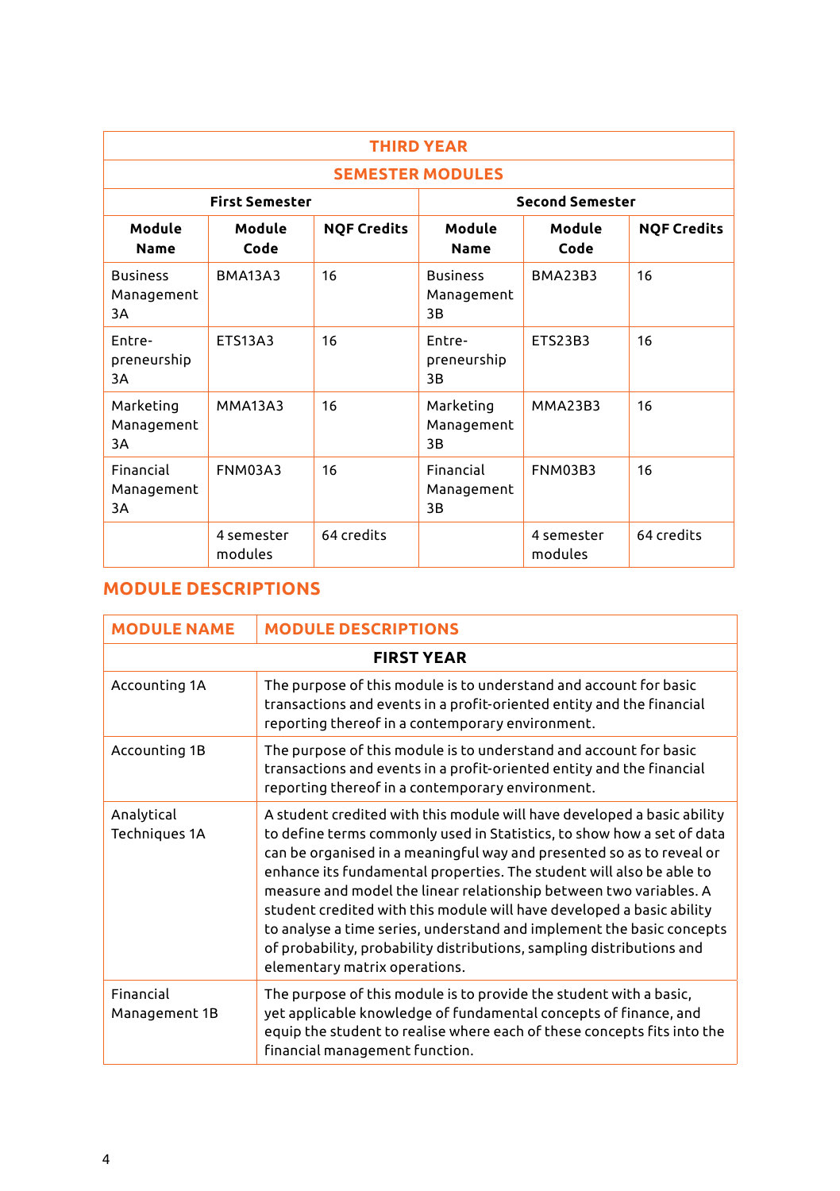| <b>THIRD YEAR</b>                   |                       |                    |                                     |                       |                    |
|-------------------------------------|-----------------------|--------------------|-------------------------------------|-----------------------|--------------------|
| <b>SEMESTER MODULES</b>             |                       |                    |                                     |                       |                    |
|                                     | <b>First Semester</b> |                    | <b>Second Semester</b>              |                       |                    |
| Module<br><b>Name</b>               | Module<br>Code        | <b>NOF Credits</b> | Module<br>Name                      | Module<br>Code        | <b>NOF Credits</b> |
| <b>Business</b><br>Management<br>3A | <b>BMA13A3</b>        | 16                 | <b>Business</b><br>Management<br>3B | <b>BMA23B3</b>        | 16                 |
| Entre-<br>preneurship<br>ЗA         | <b>ETS13A3</b>        | 16                 | Fntre-<br>preneurship<br>3B         | <b>ETS23B3</b>        | 16                 |
| Marketing<br>Management<br>3A       | <b>MMA13A3</b>        | 16                 | Marketing<br>Management<br>3B       | <b>MMA23B3</b>        | 16                 |
| Financial<br>Management<br>3A       | FNM03A3               | 16                 | Financial<br>Management<br>3B       | FNM03B3               | 16                 |
|                                     | 4 semester<br>modules | 64 credits         |                                     | 4 semester<br>modules | 64 credits         |

## **MODULE DESCRIPTIONS**

| <b>MODULE NAME</b>          | <b>MODULE DESCRIPTIONS</b>                                                                                                                                                                                                                                                                                                                                                                                                                                                                                                                                                                                                           |
|-----------------------------|--------------------------------------------------------------------------------------------------------------------------------------------------------------------------------------------------------------------------------------------------------------------------------------------------------------------------------------------------------------------------------------------------------------------------------------------------------------------------------------------------------------------------------------------------------------------------------------------------------------------------------------|
|                             | <b>FIRST YEAR</b>                                                                                                                                                                                                                                                                                                                                                                                                                                                                                                                                                                                                                    |
| Accounting 1A               | The purpose of this module is to understand and account for basic<br>transactions and events in a profit-oriented entity and the financial<br>reporting thereof in a contemporary environment.                                                                                                                                                                                                                                                                                                                                                                                                                                       |
| Accounting 1B               | The purpose of this module is to understand and account for basic<br>transactions and events in a profit-oriented entity and the financial<br>reporting thereof in a contemporary environment.                                                                                                                                                                                                                                                                                                                                                                                                                                       |
| Analytical<br>Techniques 1A | A student credited with this module will have developed a basic ability<br>to define terms commonly used in Statistics, to show how a set of data<br>can be organised in a meaningful way and presented so as to reveal or<br>enhance its fundamental properties. The student will also be able to<br>measure and model the linear relationship between two variables. A<br>student credited with this module will have developed a basic ability<br>to analyse a time series, understand and implement the basic concepts<br>of probability, probability distributions, sampling distributions and<br>elementary matrix operations. |
| Financial<br>Management 1B  | The purpose of this module is to provide the student with a basic,<br>yet applicable knowledge of fundamental concepts of finance, and<br>equip the student to realise where each of these concepts fits into the<br>financial management function.                                                                                                                                                                                                                                                                                                                                                                                  |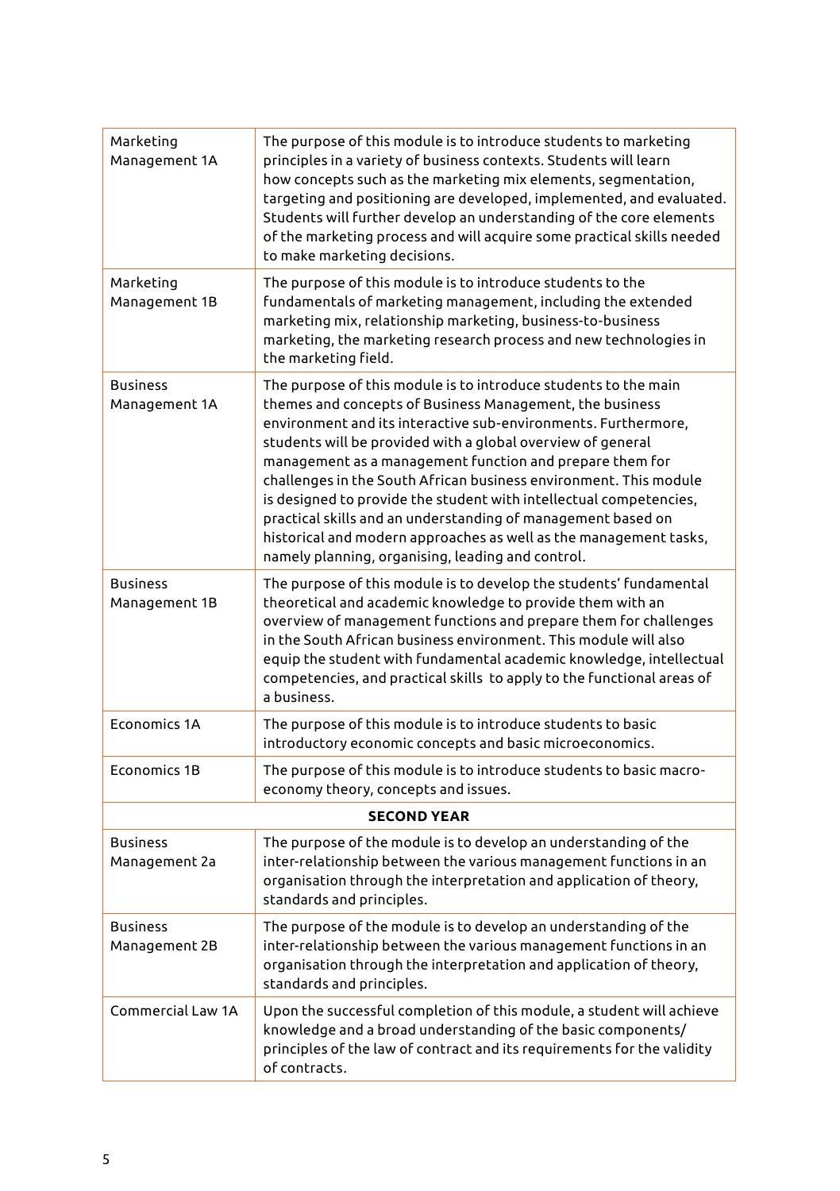| Marketing<br>Management 1A       | The purpose of this module is to introduce students to marketing<br>principles in a variety of business contexts. Students will learn<br>how concepts such as the marketing mix elements, segmentation,<br>targeting and positioning are developed, implemented, and evaluated.<br>Students will further develop an understanding of the core elements<br>of the marketing process and will acquire some practical skills needed<br>to make marketing decisions.                                                                                                                                                                                              |  |  |  |
|----------------------------------|---------------------------------------------------------------------------------------------------------------------------------------------------------------------------------------------------------------------------------------------------------------------------------------------------------------------------------------------------------------------------------------------------------------------------------------------------------------------------------------------------------------------------------------------------------------------------------------------------------------------------------------------------------------|--|--|--|
| Marketing<br>Management 1B       | The purpose of this module is to introduce students to the<br>fundamentals of marketing management, including the extended<br>marketing mix, relationship marketing, business-to-business<br>marketing, the marketing research process and new technologies in<br>the marketing field.                                                                                                                                                                                                                                                                                                                                                                        |  |  |  |
| <b>Business</b><br>Management 1A | The purpose of this module is to introduce students to the main<br>themes and concepts of Business Management, the business<br>environment and its interactive sub-environments. Furthermore,<br>students will be provided with a global overview of general<br>management as a management function and prepare them for<br>challenges in the South African business environment. This module<br>is designed to provide the student with intellectual competencies,<br>practical skills and an understanding of management based on<br>historical and modern approaches as well as the management tasks,<br>namely planning, organising, leading and control. |  |  |  |
| <b>Business</b><br>Management 1B | The purpose of this module is to develop the students' fundamental<br>theoretical and academic knowledge to provide them with an<br>overview of management functions and prepare them for challenges<br>in the South African business environment. This module will also<br>equip the student with fundamental academic knowledge, intellectual<br>competencies, and practical skills to apply to the functional areas of<br>a business.                                                                                                                                                                                                                      |  |  |  |
| <b>Economics 1A</b>              | The purpose of this module is to introduce students to basic<br>introductory economic concepts and basic microeconomics.                                                                                                                                                                                                                                                                                                                                                                                                                                                                                                                                      |  |  |  |
| Economics 1B                     | The purpose of this module is to introduce students to basic macro-<br>economy theory, concepts and issues.                                                                                                                                                                                                                                                                                                                                                                                                                                                                                                                                                   |  |  |  |
| <b>SECOND YEAR</b>               |                                                                                                                                                                                                                                                                                                                                                                                                                                                                                                                                                                                                                                                               |  |  |  |
| Business<br>Management 2a        | The purpose of the module is to develop an understanding of the<br>inter-relationship between the various management functions in an<br>organisation through the interpretation and application of theory,<br>standards and principles.                                                                                                                                                                                                                                                                                                                                                                                                                       |  |  |  |
| <b>Business</b><br>Management 2B | The purpose of the module is to develop an understanding of the<br>inter-relationship between the various management functions in an<br>organisation through the interpretation and application of theory,<br>standards and principles.                                                                                                                                                                                                                                                                                                                                                                                                                       |  |  |  |
| <b>Commercial Law 1A</b>         | Upon the successful completion of this module, a student will achieve<br>knowledge and a broad understanding of the basic components/<br>principles of the law of contract and its requirements for the validity<br>of contracts.                                                                                                                                                                                                                                                                                                                                                                                                                             |  |  |  |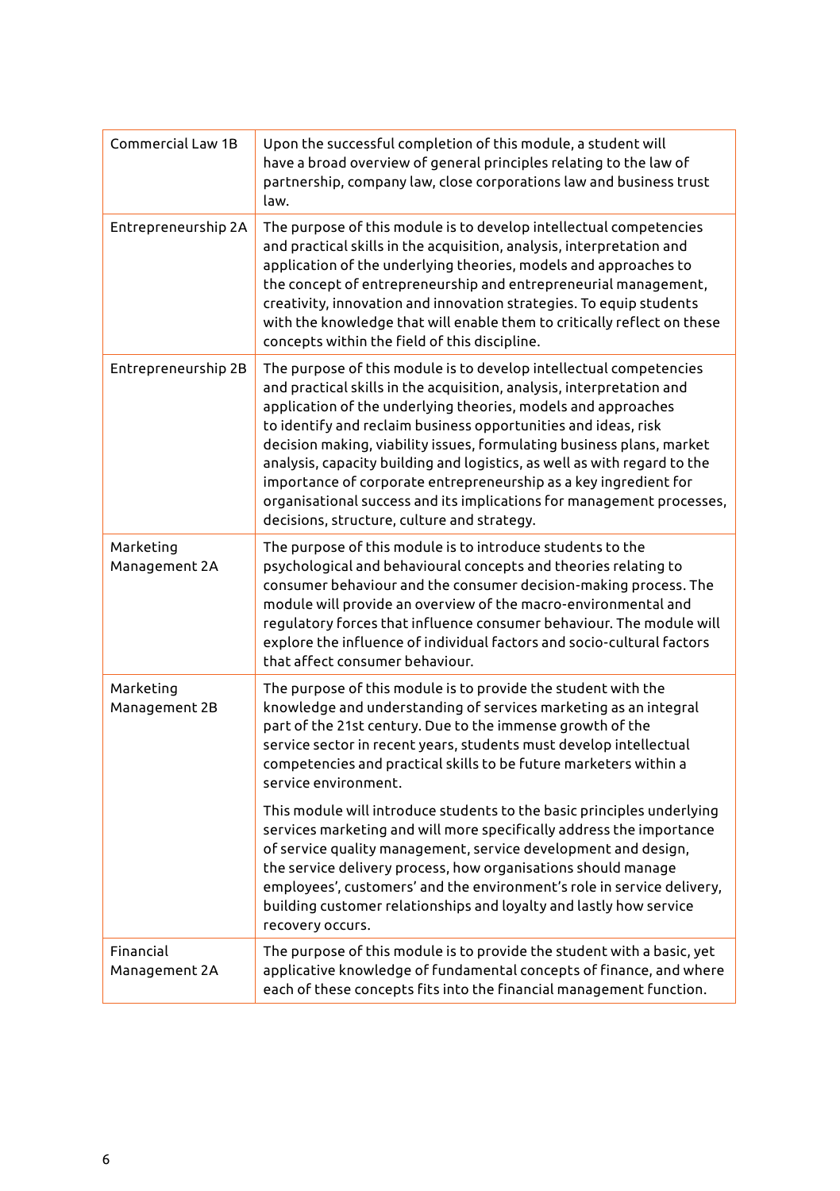| Commercial Law 1B          | Upon the successful completion of this module, a student will<br>have a broad overview of general principles relating to the law of<br>partnership, company law, close corporations law and business trust<br>law.                                                                                                                                                                                                                                                                                                                                                                                                              |
|----------------------------|---------------------------------------------------------------------------------------------------------------------------------------------------------------------------------------------------------------------------------------------------------------------------------------------------------------------------------------------------------------------------------------------------------------------------------------------------------------------------------------------------------------------------------------------------------------------------------------------------------------------------------|
| Entrepreneurship 2A        | The purpose of this module is to develop intellectual competencies<br>and practical skills in the acquisition, analysis, interpretation and<br>application of the underlying theories, models and approaches to<br>the concept of entrepreneurship and entrepreneurial management,<br>creativity, innovation and innovation strategies. To equip students<br>with the knowledge that will enable them to critically reflect on these<br>concepts within the field of this discipline.                                                                                                                                           |
| Entrepreneurship 2B        | The purpose of this module is to develop intellectual competencies<br>and practical skills in the acquisition, analysis, interpretation and<br>application of the underlying theories, models and approaches<br>to identify and reclaim business opportunities and ideas, risk<br>decision making, viability issues, formulating business plans, market<br>analysis, capacity building and logistics, as well as with regard to the<br>importance of corporate entrepreneurship as a key ingredient for<br>organisational success and its implications for management processes,<br>decisions, structure, culture and strategy. |
| Marketing<br>Management 2A | The purpose of this module is to introduce students to the<br>psychological and behavioural concepts and theories relating to<br>consumer behaviour and the consumer decision-making process. The<br>module will provide an overview of the macro-environmental and<br>regulatory forces that influence consumer behaviour. The module will<br>explore the influence of individual factors and socio-cultural factors<br>that affect consumer behaviour.                                                                                                                                                                        |
| Marketing<br>Management 2B | The purpose of this module is to provide the student with the<br>knowledge and understanding of services marketing as an integral<br>part of the 21st century. Due to the immense growth of the<br>service sector in recent years, students must develop intellectual<br>competencies and practical skills to be future marketers within a<br>service environment.                                                                                                                                                                                                                                                              |
|                            | This module will introduce students to the basic principles underlying<br>services marketing and will more specifically address the importance<br>of service quality management, service development and design,<br>the service delivery process, how organisations should manage<br>employees', customers' and the environment's role in service delivery,<br>building customer relationships and loyalty and lastly how service<br>recovery occurs.                                                                                                                                                                           |
| Financial<br>Management 2A | The purpose of this module is to provide the student with a basic, yet<br>applicative knowledge of fundamental concepts of finance, and where<br>each of these concepts fits into the financial management function.                                                                                                                                                                                                                                                                                                                                                                                                            |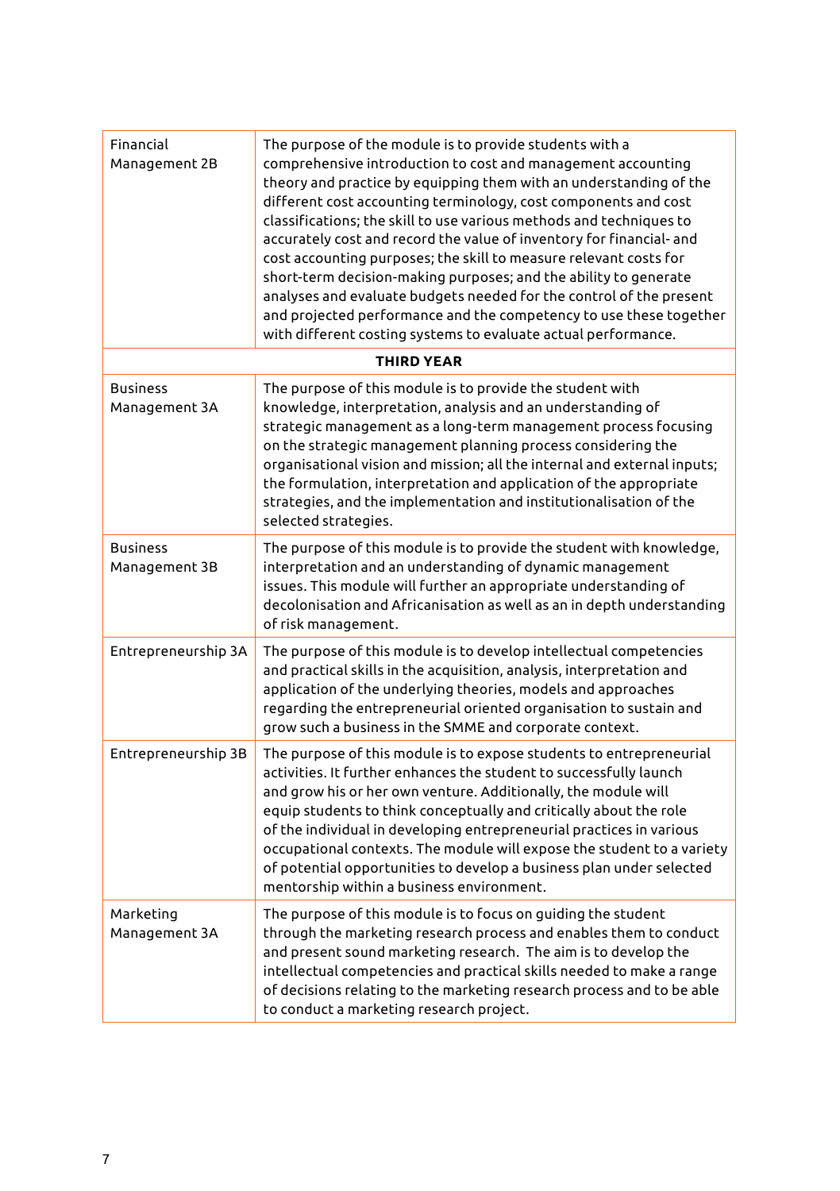| Financial<br>Management 2B       | The purpose of the module is to provide students with a<br>comprehensive introduction to cost and management accounting<br>theory and practice by equipping them with an understanding of the<br>different cost accounting terminology, cost components and cost<br>classifications; the skill to use various methods and techniques to<br>accurately cost and record the value of inventory for financial- and<br>cost accounting purposes; the skill to measure relevant costs for<br>short-term decision-making purposes; and the ability to generate<br>analyses and evaluate budgets needed for the control of the present<br>and projected performance and the competency to use these together<br>with different costing systems to evaluate actual performance. |
|----------------------------------|-------------------------------------------------------------------------------------------------------------------------------------------------------------------------------------------------------------------------------------------------------------------------------------------------------------------------------------------------------------------------------------------------------------------------------------------------------------------------------------------------------------------------------------------------------------------------------------------------------------------------------------------------------------------------------------------------------------------------------------------------------------------------|
|                                  | <b>THIRD YEAR</b>                                                                                                                                                                                                                                                                                                                                                                                                                                                                                                                                                                                                                                                                                                                                                       |
| <b>Business</b><br>Management 3A | The purpose of this module is to provide the student with<br>knowledge, interpretation, analysis and an understanding of<br>strategic management as a long-term management process focusing<br>on the strategic management planning process considering the<br>organisational vision and mission; all the internal and external inputs;<br>the formulation, interpretation and application of the appropriate<br>strategies, and the implementation and institutionalisation of the<br>selected strategies.                                                                                                                                                                                                                                                             |
| <b>Business</b><br>Management 3B | The purpose of this module is to provide the student with knowledge,<br>interpretation and an understanding of dynamic management<br>issues. This module will further an appropriate understanding of<br>decolonisation and Africanisation as well as an in depth understanding<br>of risk management.                                                                                                                                                                                                                                                                                                                                                                                                                                                                  |
| Entrepreneurship 3A              | The purpose of this module is to develop intellectual competencies<br>and practical skills in the acquisition, analysis, interpretation and<br>application of the underlying theories, models and approaches<br>regarding the entrepreneurial oriented organisation to sustain and<br>grow such a business in the SMME and corporate context.                                                                                                                                                                                                                                                                                                                                                                                                                           |
| Entrepreneurship 3B              | The purpose of this module is to expose students to entrepreneurial<br>activities. It further enhances the student to successfully launch<br>and grow his or her own venture. Additionally, the module will<br>equip students to think conceptually and critically about the role<br>of the individual in developing entrepreneurial practices in various<br>occupational contexts. The module will expose the student to a variety<br>of potential opportunities to develop a business plan under selected<br>mentorship within a business environment.                                                                                                                                                                                                                |
| Marketing<br>Management 3A       | The purpose of this module is to focus on guiding the student<br>through the marketing research process and enables them to conduct<br>and present sound marketing research. The aim is to develop the<br>intellectual competencies and practical skills needed to make a range<br>of decisions relating to the marketing research process and to be able<br>to conduct a marketing research project.                                                                                                                                                                                                                                                                                                                                                                   |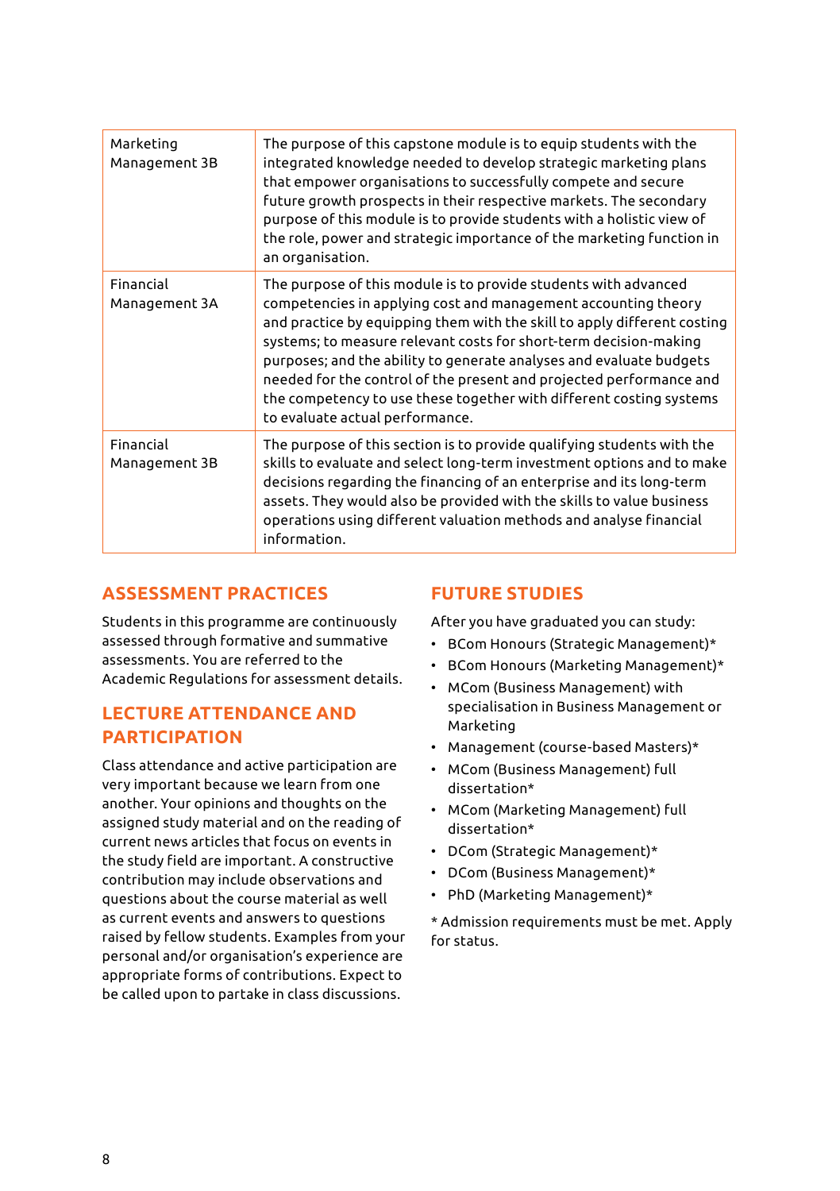| Marketing<br>Management 3B | The purpose of this capstone module is to equip students with the<br>integrated knowledge needed to develop strategic marketing plans<br>that empower organisations to successfully compete and secure<br>future growth prospects in their respective markets. The secondary<br>purpose of this module is to provide students with a holistic view of<br>the role, power and strategic importance of the marketing function in<br>an organisation.                                                                                         |
|----------------------------|--------------------------------------------------------------------------------------------------------------------------------------------------------------------------------------------------------------------------------------------------------------------------------------------------------------------------------------------------------------------------------------------------------------------------------------------------------------------------------------------------------------------------------------------|
| Financial<br>Management 3A | The purpose of this module is to provide students with advanced<br>competencies in applying cost and management accounting theory<br>and practice by equipping them with the skill to apply different costing<br>systems; to measure relevant costs for short-term decision-making<br>purposes; and the ability to generate analyses and evaluate budgets<br>needed for the control of the present and projected performance and<br>the competency to use these together with different costing systems<br>to evaluate actual performance. |
| Financial<br>Management 3B | The purpose of this section is to provide qualifying students with the<br>skills to evaluate and select long-term investment options and to make<br>decisions regarding the financing of an enterprise and its long-term<br>assets. They would also be provided with the skills to value business<br>operations using different valuation methods and analyse financial<br>information.                                                                                                                                                    |

### **ASSESSMENT PRACTICES**

Students in this programme are continuously assessed through formative and summative assessments. You are referred to the Academic Regulations for assessment details.

### **LECTURE ATTENDANCE AND PARTICIPATION**

Class attendance and active participation are very important because we learn from one another. Your opinions and thoughts on the assigned study material and on the reading of current news articles that focus on events in the study field are important. A constructive contribution may include observations and questions about the course material as well as current events and answers to questions raised by fellow students. Examples from your personal and/or organisation's experience are appropriate forms of contributions. Expect to be called upon to partake in class discussions.

### **FUTURE STUDIES**

After you have graduated you can study:

- BCom Honours (Strategic Management)\*
- BCom Honours (Marketing Management)\*
- MCom (Business Management) with specialisation in Business Management or Marketing
- Management (course-based Masters)\*
- MCom (Business Management) full dissertation\*
- MCom (Marketing Management) full dissertation\*
- DCom (Strategic Management)\*
- DCom (Business Management)\*
- PhD (Marketing Management)\*

\* Admission requirements must be met. Apply for status.